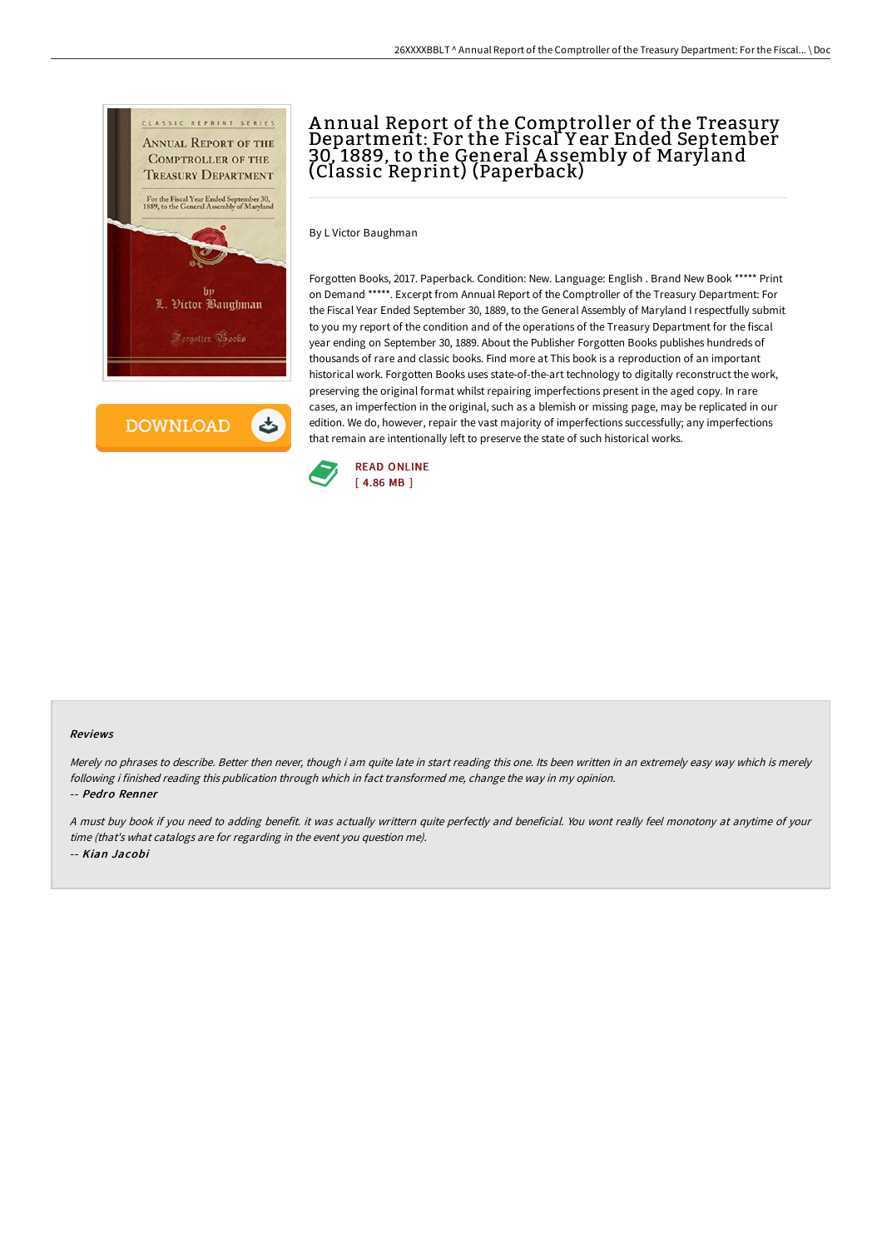

**DOWNLOAD** 

ٹ

# A nnual Report of the Comptroller of the Treasury Department: For the Fiscal Y ear Ended September 30, 1889, to the General A ssembly of Maryland (Classic Reprint) (Paperback)

By L Victor Baughman

Forgotten Books, 2017. Paperback. Condition: New. Language: English . Brand New Book \*\*\*\*\* Print on Demand \*\*\*\*\*. Excerpt from Annual Report of the Comptroller of the Treasury Department: For the Fiscal Year Ended September 30, 1889, to the General Assembly of Maryland I respectfully submit to you my report of the condition and of the operations of the Treasury Department for the fiscal year ending on September 30, 1889. About the Publisher Forgotten Books publishes hundreds of thousands of rare and classic books. Find more at This book is a reproduction of an important historical work. Forgotten Books uses state-of-the-art technology to digitally reconstruct the work, preserving the original format whilst repairing imperfections present in the aged copy. In rare cases, an imperfection in the original, such as a blemish or missing page, may be replicated in our edition. We do, however, repair the vast majority of imperfections successfully; any imperfections that remain are intentionally left to preserve the state of such historical works.



#### Reviews

Merely no phrases to describe. Better then never, though i am quite late in start reading this one. Its been written in an extremely easy way which is merely following i finished reading this publication through which in fact transformed me, change the way in my opinion. -- Pedro Renner

<sup>A</sup> must buy book if you need to adding benefit. it was actually writtern quite perfectly and beneficial. You wont really feel monotony at anytime of your time (that's what catalogs are for regarding in the event you question me). -- Kian Jacobi